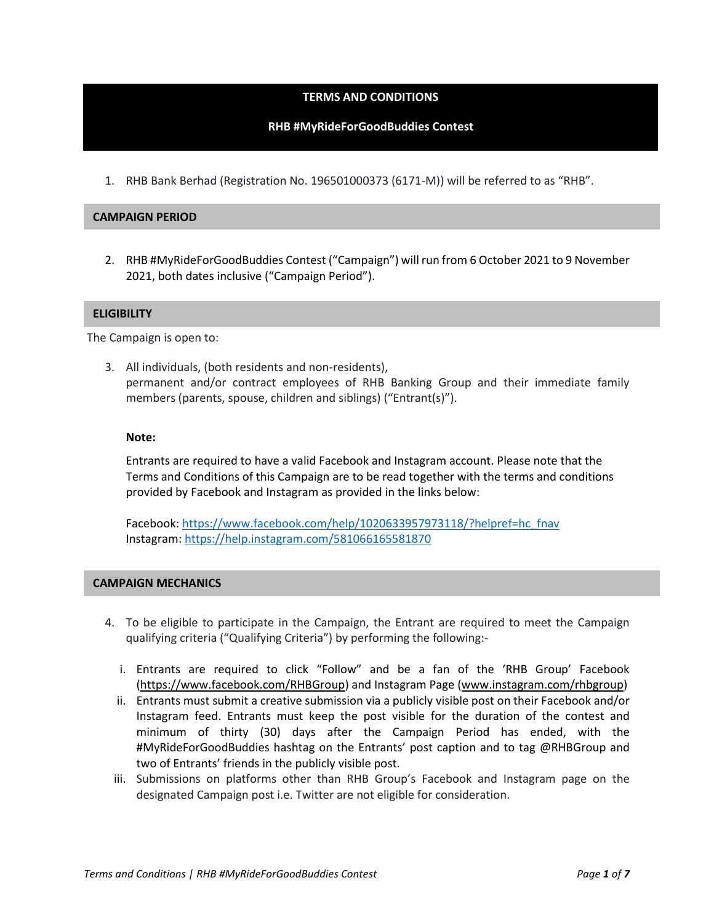# **TERMS AND CONDITIONS**

### **RHB #MyRideForGoodBuddies Contest**

1. RHB Bank Berhad (Registration No. 196501000373 (6171-M)) will be referred to as "RHB".

#### **CAMPAIGN PERIOD**

2. RHB #MyRideForGoodBuddies Contest ("Campaign") will run from 6 October 2021 to 9 November 2021, both dates inclusive ("Campaign Period").

#### **ELIGIBILITY**

The Campaign is open to:

3. All individuals, (both residents and non-residents), permanent and/or contract employees of RHB Banking Group and their immediate family members (parents, spouse, children and siblings) ("Entrant(s)").

#### **Note:**

Entrants are required to have a valid Facebook and Instagram account. Please note that the Terms and Conditions of this Campaign are to be read together with the terms and conditions provided by Facebook and Instagram as provided in the links below:

Facebook: [https://www.facebook.com/help/1020633957973118/?helpref=hc\\_fnav](https://www.facebook.com/help/1020633957973118/?helpref=hc_fnav) Instagram:<https://help.instagram.com/581066165581870>

#### **CAMPAIGN MECHANICS**

- 4. To be eligible to participate in the Campaign, the Entrant are required to meet the Campaign qualifying criteria ("Qualifying Criteria") by performing the following:
	- i. Entrants are required to click "Follow" and be a fan of the 'RHB Group' Facebook [\(https://www.facebook.com/RHBGroup\)](https://www.facebook.com/RHBGroup) and Instagram Page [\(www.instagram.com/rhbgroup\)](http://www.instagram.com/rhbgroup)
	- ii. Entrants must submit a creative submission via a publicly visible post on their Facebook and/or Instagram feed. Entrants must keep the post visible for the duration of the contest and minimum of thirty (30) days after the Campaign Period has ended, with the #MyRideForGoodBuddies hashtag on the Entrants' post caption and to tag @RHBGroup and two of Entrants' friends in the publicly visible post.
	- iii. Submissions on platforms other than RHB Group's Facebook and Instagram page on the designated Campaign post i.e. Twitter are not eligible for consideration.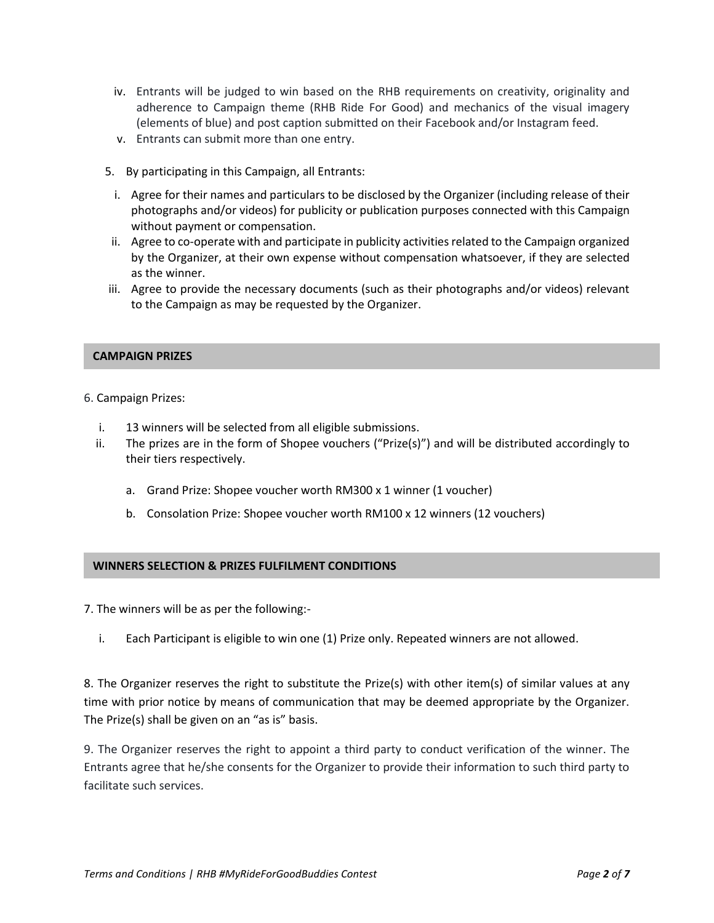- iv. Entrants will be judged to win based on the RHB requirements on creativity, originality and adherence to Campaign theme (RHB Ride For Good) and mechanics of the visual imagery (elements of blue) and post caption submitted on their Facebook and/or Instagram feed.
- v. Entrants can submit more than one entry.
- 5. By participating in this Campaign, all Entrants:
- i. Agree for their names and particulars to be disclosed by the Organizer (including release of their photographs and/or videos) for publicity or publication purposes connected with this Campaign without payment or compensation.
- ii. Agree to co-operate with and participate in publicity activities related to the Campaign organized by the Organizer, at their own expense without compensation whatsoever, if they are selected as the winner.
- iii. Agree to provide the necessary documents (such as their photographs and/or videos) relevant to the Campaign as may be requested by the Organizer.

# **CAMPAIGN PRIZES**

- 6. Campaign Prizes:
	- i. 13 winners will be selected from all eligible submissions.
	- ii. The prizes are in the form of Shopee vouchers ("Prize(s)") and will be distributed accordingly to their tiers respectively.
		- a. Grand Prize: Shopee voucher worth RM300 x 1 winner (1 voucher)
		- b. Consolation Prize: Shopee voucher worth RM100 x 12 winners (12 vouchers)

# **WINNERS SELECTION & PRIZES FULFILMENT CONDITIONS**

7. The winners will be as per the following:-

i. Each Participant is eligible to win one (1) Prize only. Repeated winners are not allowed.

8. The Organizer reserves the right to substitute the Prize(s) with other item(s) of similar values at any time with prior notice by means of communication that may be deemed appropriate by the Organizer. The Prize(s) shall be given on an "as is" basis.

9. The Organizer reserves the right to appoint a third party to conduct verification of the winner. The Entrants agree that he/she consents for the Organizer to provide their information to such third party to facilitate such services.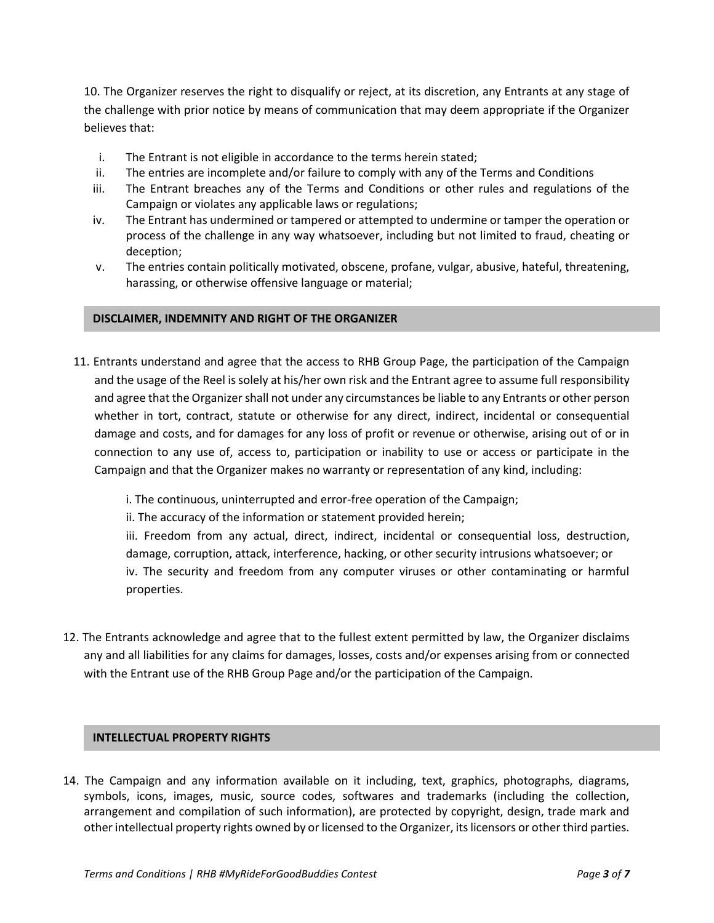10. The Organizer reserves the right to disqualify or reject, at its discretion, any Entrants at any stage of the challenge with prior notice by means of communication that may deem appropriate if the Organizer believes that:

- i. The Entrant is not eligible in accordance to the terms herein stated;
- ii. The entries are incomplete and/or failure to comply with any of the Terms and Conditions
- iii. The Entrant breaches any of the Terms and Conditions or other rules and regulations of the Campaign or violates any applicable laws or regulations;
- iv. The Entrant has undermined or tampered or attempted to undermine or tamper the operation or process of the challenge in any way whatsoever, including but not limited to fraud, cheating or deception;
- v. The entries contain politically motivated, obscene, profane, vulgar, abusive, hateful, threatening, harassing, or otherwise offensive language or material;

#### **DISCLAIMER, INDEMNITY AND RIGHT OF THE ORGANIZER**

11. Entrants understand and agree that the access to RHB Group Page, the participation of the Campaign and the usage of the Reel is solely at his/her own risk and the Entrant agree to assume full responsibility and agree that the Organizer shall not under any circumstances be liable to any Entrants or other person whether in tort, contract, statute or otherwise for any direct, indirect, incidental or consequential damage and costs, and for damages for any loss of profit or revenue or otherwise, arising out of or in connection to any use of, access to, participation or inability to use or access or participate in the Campaign and that the Organizer makes no warranty or representation of any kind, including:

i. The continuous, uninterrupted and error-free operation of the Campaign;

ii. The accuracy of the information or statement provided herein;

iii. Freedom from any actual, direct, indirect, incidental or consequential loss, destruction, damage, corruption, attack, interference, hacking, or other security intrusions whatsoever; or iv. The security and freedom from any computer viruses or other contaminating or harmful properties.

12. The Entrants acknowledge and agree that to the fullest extent permitted by law, the Organizer disclaims any and all liabilities for any claims for damages, losses, costs and/or expenses arising from or connected with the Entrant use of the RHB Group Page and/or the participation of the Campaign.

# **INTELLECTUAL PROPERTY RIGHTS**

14. The Campaign and any information available on it including, text, graphics, photographs, diagrams, symbols, icons, images, music, source codes, softwares and trademarks (including the collection, arrangement and compilation of such information), are protected by copyright, design, trade mark and other intellectual property rights owned by or licensed to the Organizer, its licensors or other third parties.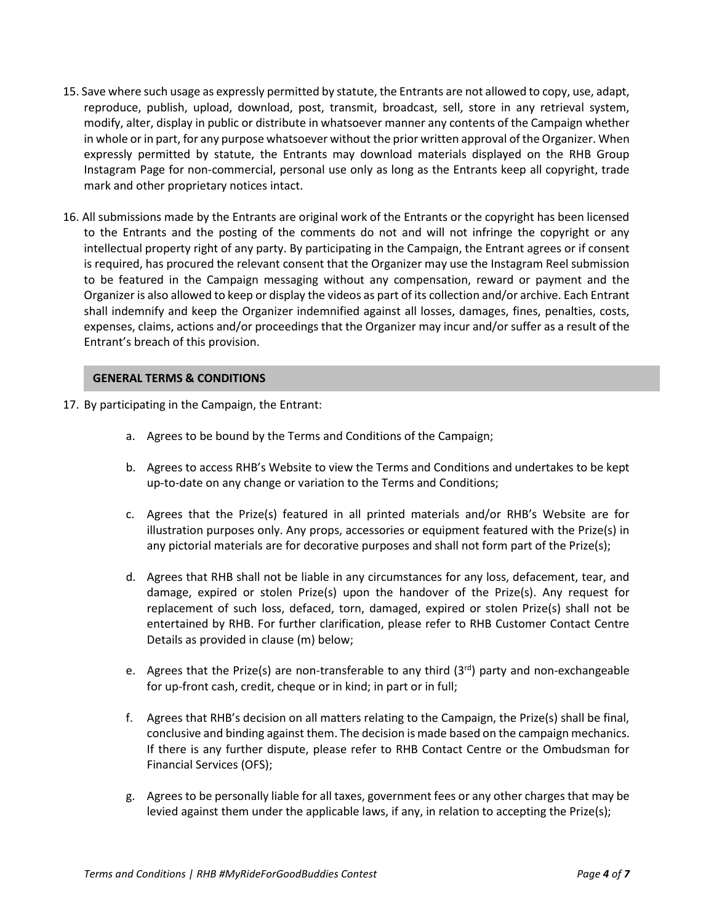- 15. Save where such usage as expressly permitted by statute, the Entrants are not allowed to copy, use, adapt, reproduce, publish, upload, download, post, transmit, broadcast, sell, store in any retrieval system, modify, alter, display in public or distribute in whatsoever manner any contents of the Campaign whether in whole or in part, for any purpose whatsoever without the prior written approval of the Organizer. When expressly permitted by statute, the Entrants may download materials displayed on the RHB Group Instagram Page for non-commercial, personal use only as long as the Entrants keep all copyright, trade mark and other proprietary notices intact.
- 16. All submissions made by the Entrants are original work of the Entrants or the copyright has been licensed to the Entrants and the posting of the comments do not and will not infringe the copyright or any intellectual property right of any party. By participating in the Campaign, the Entrant agrees or if consent is required, has procured the relevant consent that the Organizer may use the Instagram Reel submission to be featured in the Campaign messaging without any compensation, reward or payment and the Organizer is also allowed to keep or display the videos as part of its collection and/or archive. Each Entrant shall indemnify and keep the Organizer indemnified against all losses, damages, fines, penalties, costs, expenses, claims, actions and/or proceedings that the Organizer may incur and/or suffer as a result of the Entrant's breach of this provision.

#### **GENERAL TERMS & CONDITIONS**

- 17. By participating in the Campaign, the Entrant:
	- a. Agrees to be bound by the Terms and Conditions of the Campaign;
	- b. Agrees to access RHB's Website to view the Terms and Conditions and undertakes to be kept up-to-date on any change or variation to the Terms and Conditions;
	- c. Agrees that the Prize(s) featured in all printed materials and/or RHB's Website are for illustration purposes only. Any props, accessories or equipment featured with the Prize(s) in any pictorial materials are for decorative purposes and shall not form part of the Prize(s);
	- d. Agrees that RHB shall not be liable in any circumstances for any loss, defacement, tear, and damage, expired or stolen Prize(s) upon the handover of the Prize(s). Any request for replacement of such loss, defaced, torn, damaged, expired or stolen Prize(s) shall not be entertained by RHB. For further clarification, please refer to RHB Customer Contact Centre Details as provided in clause (m) below;
	- e. Agrees that the Prize(s) are non-transferable to any third  $(3<sup>rd</sup>)$  party and non-exchangeable for up-front cash, credit, cheque or in kind; in part or in full;
	- f. Agrees that RHB's decision on all matters relating to the Campaign, the Prize(s) shall be final, conclusive and binding against them. The decision is made based on the campaign mechanics. If there is any further dispute, please refer to RHB Contact Centre or the Ombudsman for Financial Services (OFS);
	- g. Agrees to be personally liable for all taxes, government fees or any other charges that may be levied against them under the applicable laws, if any, in relation to accepting the Prize(s);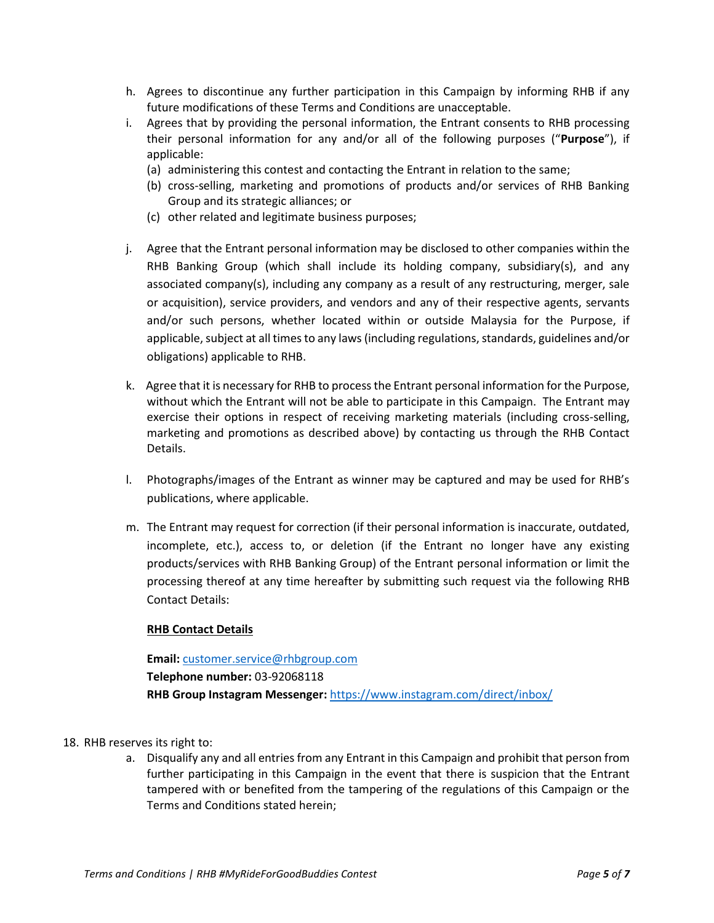- h. Agrees to discontinue any further participation in this Campaign by informing RHB if any future modifications of these Terms and Conditions are unacceptable.
- i. Agrees that by providing the personal information, the Entrant consents to RHB processing their personal information for any and/or all of the following purposes ("**Purpose**"), if applicable:
	- (a) administering this contest and contacting the Entrant in relation to the same;
	- (b) cross-selling, marketing and promotions of products and/or services of RHB Banking Group and its strategic alliances; or
	- (c) other related and legitimate business purposes;
- j. Agree that the Entrant personal information may be disclosed to other companies within the RHB Banking Group (which shall include its holding company, subsidiary(s), and any associated company(s), including any company as a result of any restructuring, merger, sale or acquisition), service providers, and vendors and any of their respective agents, servants and/or such persons, whether located within or outside Malaysia for the Purpose, if applicable, subject at all times to any laws (including regulations, standards, guidelines and/or obligations) applicable to RHB.
- k. Agree that it is necessary for RHB to process the Entrant personal information for the Purpose, without which the Entrant will not be able to participate in this Campaign. The Entrant may exercise their options in respect of receiving marketing materials (including cross-selling, marketing and promotions as described above) by contacting us through the RHB Contact Details.
- l. Photographs/images of the Entrant as winner may be captured and may be used for RHB's publications, where applicable.
- m. The Entrant may request for correction (if their personal information is inaccurate, outdated, incomplete, etc.), access to, or deletion (if the Entrant no longer have any existing products/services with RHB Banking Group) of the Entrant personal information or limit the processing thereof at any time hereafter by submitting such request via the following RHB Contact Details:

# **RHB Contact Details**

**Email:** [customer.service@rhbgroup.com](mailto:customer.service@rhbgroup.com) **Telephone number:** 03-92068118 **RHB Group Instagram Messenger:** <https://www.instagram.com/direct/inbox/>

- 18. RHB reserves its right to:
	- a. Disqualify any and all entries from any Entrant in this Campaign and prohibit that person from further participating in this Campaign in the event that there is suspicion that the Entrant tampered with or benefited from the tampering of the regulations of this Campaign or the Terms and Conditions stated herein;